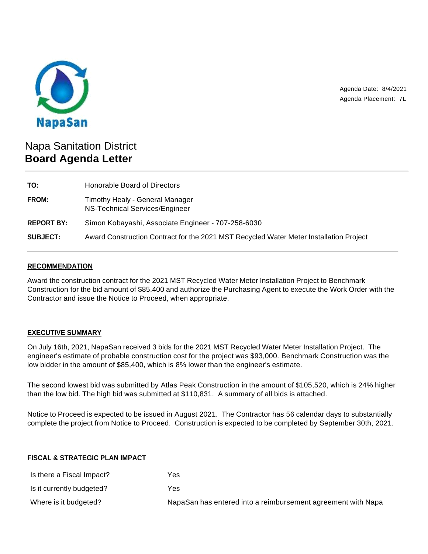

Agenda Date: 8/4/2021 Agenda Placement: 7L

# Napa Sanitation District **Board Agenda Letter**

| TO:               | Honorable Board of Directors                                                           |
|-------------------|----------------------------------------------------------------------------------------|
| FROM:             | Timothy Healy - General Manager<br>NS-Technical Services/Engineer                      |
| <b>REPORT BY:</b> | Simon Kobayashi, Associate Engineer - 707-258-6030                                     |
| <b>SUBJECT:</b>   | Award Construction Contract for the 2021 MST Recycled Water Meter Installation Project |

### **RECOMMENDATION**

Award the construction contract for the 2021 MST Recycled Water Meter Installation Project to Benchmark Construction for the bid amount of \$85,400 and authorize the Purchasing Agent to execute the Work Order with the Contractor and issue the Notice to Proceed, when appropriate.

## **EXECUTIVE SUMMARY**

On July 16th, 2021, NapaSan received 3 bids for the 2021 MST Recycled Water Meter Installation Project. The engineer's estimate of probable construction cost for the project was \$93,000. Benchmark Construction was the low bidder in the amount of \$85,400, which is 8% lower than the engineer's estimate.

The second lowest bid was submitted by Atlas Peak Construction in the amount of \$105,520, which is 24% higher than the low bid. The high bid was submitted at \$110,831. A summary of all bids is attached.

Notice to Proceed is expected to be issued in August 2021. The Contractor has 56 calendar days to substantially complete the project from Notice to Proceed. Construction is expected to be completed by September 30th, 2021.

#### **FISCAL & STRATEGIC PLAN IMPACT**

| Is there a Fiscal Impact? | Yes                                                          |
|---------------------------|--------------------------------------------------------------|
| Is it currently budgeted? | Yes                                                          |
| Where is it budgeted?     | NapaSan has entered into a reimbursement agreement with Napa |